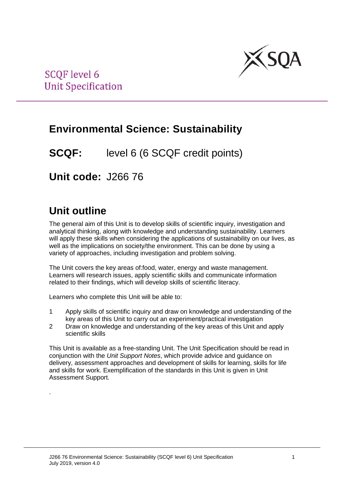

# **Environmental Science: Sustainability**

**SCQF:** level 6 (6 SCQF credit points)

**Unit code:** J266 76

# **Unit outline**

.

The general aim of this Unit is to develop skills of scientific inquiry, investigation and analytical thinking, along with knowledge and understanding sustainability. Learners will apply these skills when considering the applications of sustainability on our lives, as well as the implications on society/the environment. This can be done by using a variety of approaches, including investigation and problem solving.

The Unit covers the key areas of:food, water, energy and waste management. Learners will research issues, apply scientific skills and communicate information related to their findings, which will develop skills of scientific literacy.

Learners who complete this Unit will be able to:

- 1 Apply skills of scientific inquiry and draw on knowledge and understanding of the key areas of this Unit to carry out an experiment/practical investigation
- 2 Draw on knowledge and understanding of the key areas of this Unit and apply scientific skills

This Unit is available as a free-standing Unit. The Unit Specification should be read in conjunction with the *Unit Support Notes*, which provide advice and guidance on delivery, assessment approaches and development of skills for learning, skills for life and skills for work. Exemplification of the standards in this Unit is given in Unit Assessment Support.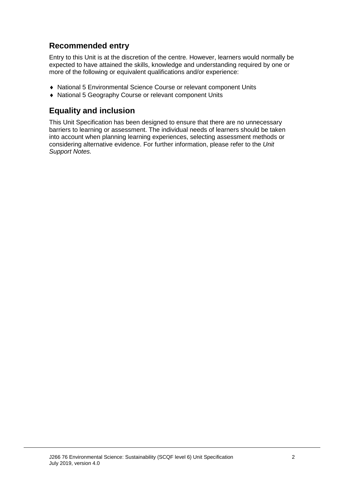## **Recommended entry**

Entry to this Unit is at the discretion of the centre. However, learners would normally be expected to have attained the skills, knowledge and understanding required by one or more of the following or equivalent qualifications and/or experience:

- ♦ National 5 Environmental Science Course or relevant component Units
- ♦ National 5 Geography Course or relevant component Units

## **Equality and inclusion**

This Unit Specification has been designed to ensure that there are no unnecessary barriers to learning or assessment. The individual needs of learners should be taken into account when planning learning experiences, selecting assessment methods or considering alternative evidence. For further information, please refer to the *Unit Support Notes.*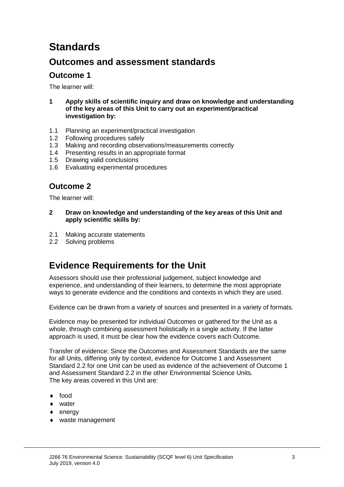# **Standards**

## **Outcomes and assessment standards**

### **Outcome 1**

The learner will:

- **1 Apply skills of scientific inquiry and draw on knowledge and understanding of the key areas of this Unit to carry out an experiment/practical investigation by:**
- 1.1 Planning an experiment/practical investigation
- 1.2 Following procedures safely<br>1.3 Making and recording observ
- 1.3 Making and recording observations/measurements correctly<br>1.4 Presenting results in an appropriate format
- Presenting results in an appropriate format
- 1.5 Drawing valid conclusions
- 1.6 Evaluating experimental procedures

### **Outcome 2**

The learner will:

- **2 Draw on knowledge and understanding of the key areas of this Unit and apply scientific skills by:**
- 2.1 Making accurate statements
- 2.2 Solving problems

## **Evidence Requirements for the Unit**

Assessors should use their professional judgement, subject knowledge and experience, and understanding of their learners, to determine the most appropriate ways to generate evidence and the conditions and contexts in which they are used.

Evidence can be drawn from a variety of sources and presented in a variety of formats.

Evidence may be presented for individual Outcomes or gathered for the Unit as a whole, through combining assessment holistically in a single activity. If the latter approach is used, it must be clear how the evidence covers each Outcome.

Transfer of evidence: Since the Outcomes and Assessment Standards are the same for all Units, differing only by context, evidence for Outcome 1 and Assessment Standard 2.2 for one Unit can be used as evidence of the achievement of Outcome 1 and Assessment Standard 2.2 in the other Environmental Science Units. The key areas covered in this Unit are:

- ♦ food
- ♦ water
- energy
- waste management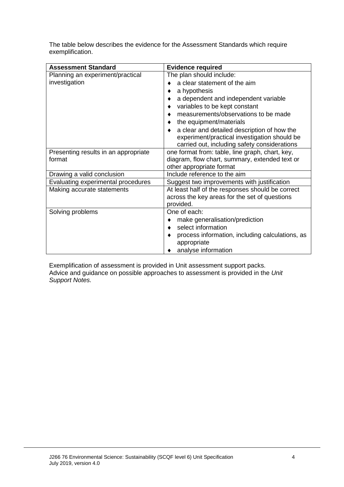| The table below describes the evidence for the Assessment Standards which require |  |  |  |
|-----------------------------------------------------------------------------------|--|--|--|
| exemplification.                                                                  |  |  |  |

| <b>Assessment Standard</b>           | <b>Evidence required</b>                         |  |  |
|--------------------------------------|--------------------------------------------------|--|--|
| Planning an experiment/practical     | The plan should include:                         |  |  |
| investigation                        | a clear statement of the aim                     |  |  |
|                                      | a hypothesis                                     |  |  |
|                                      | a dependent and independent variable             |  |  |
|                                      | variables to be kept constant                    |  |  |
|                                      | measurements/observations to be made             |  |  |
|                                      | the equipment/materials                          |  |  |
|                                      | a clear and detailed description of how the      |  |  |
|                                      | experiment/practical investigation should be     |  |  |
|                                      | carried out, including safety considerations     |  |  |
| Presenting results in an appropriate | one format from: table, line graph, chart, key,  |  |  |
| format                               | diagram, flow chart, summary, extended text or   |  |  |
|                                      | other appropriate format                         |  |  |
| Drawing a valid conclusion           | Include reference to the aim                     |  |  |
| Evaluating experimental procedures   | Suggest two improvements with justification      |  |  |
| Making accurate statements           | At least half of the responses should be correct |  |  |
|                                      | across the key areas for the set of questions    |  |  |
|                                      | provided.                                        |  |  |
| Solving problems                     | One of each:                                     |  |  |
|                                      | make generalisation/prediction                   |  |  |
|                                      | select information<br>۰                          |  |  |
|                                      | process information, including calculations, as  |  |  |
|                                      | appropriate                                      |  |  |
|                                      | analyse information                              |  |  |

Exemplification of assessment is provided in Unit assessment support packs. Advice and guidance on possible approaches to assessment is provided in the *Unit Support Notes.*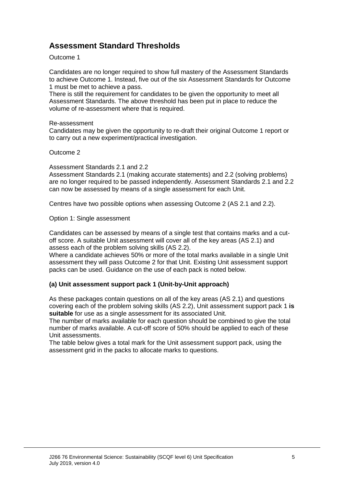## **Assessment Standard Thresholds**

#### Outcome 1

Candidates are no longer required to show full mastery of the Assessment Standards to achieve Outcome 1. Instead, five out of the six Assessment Standards for Outcome 1 must be met to achieve a pass.

There is still the requirement for candidates to be given the opportunity to meet all Assessment Standards. The above threshold has been put in place to reduce the volume of re-assessment where that is required.

#### Re-assessment

Candidates may be given the opportunity to re-draft their original Outcome 1 report or to carry out a new experiment/practical investigation.

#### Outcome 2

Assessment Standards 2.1 and 2.2

Assessment Standards 2.1 (making accurate statements) and 2.2 (solving problems) are no longer required to be passed independently. Assessment Standards 2.1 and 2.2 can now be assessed by means of a single assessment for each Unit.

Centres have two possible options when assessing Outcome 2 (AS 2.1 and 2.2).

Option 1: Single assessment

Candidates can be assessed by means of a single test that contains marks and a cutoff score. A suitable Unit assessment will cover all of the key areas (AS 2.1) and assess each of the problem solving skills (AS 2.2).

Where a candidate achieves 50% or more of the total marks available in a single Unit assessment they will pass Outcome 2 for that Unit. Existing Unit assessment support packs can be used. Guidance on the use of each pack is noted below.

#### **(a) Unit assessment support pack 1 (Unit-by-Unit approach)**

As these packages contain questions on all of the key areas (AS 2.1) and questions covering each of the problem solving skills (AS 2.2), Unit assessment support pack 1 **is suitable** for use as a single assessment for its associated Unit.

The number of marks available for each question should be combined to give the total number of marks available. A cut-off score of 50% should be applied to each of these Unit assessments.

The table below gives a total mark for the Unit assessment support pack, using the assessment grid in the packs to allocate marks to questions.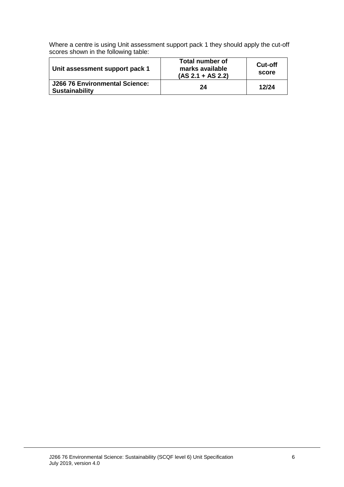Where a centre is using Unit assessment support pack 1 they should apply the cut-off scores shown in the following table:

| Unit assessment support pack 1                          | Total number of<br>marks available<br>$(AS 2.1 + AS 2.2)$ | <b>Cut-off</b><br>score |
|---------------------------------------------------------|-----------------------------------------------------------|-------------------------|
| J266 76 Environmental Science:<br><b>Sustainability</b> | 24                                                        | 12/24                   |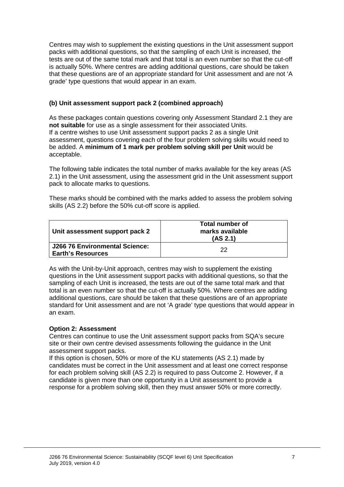Centres may wish to supplement the existing questions in the Unit assessment support packs with additional questions, so that the sampling of each Unit is increased, the tests are out of the same total mark and that total is an even number so that the cut-off is actually 50%. Where centres are adding additional questions, care should be taken that these questions are of an appropriate standard for Unit assessment and are not 'A grade' type questions that would appear in an exam.

#### **(b) Unit assessment support pack 2 (combined approach)**

As these packages contain questions covering only Assessment Standard 2.1 they are **not suitable** for use as a single assessment for their associated Units. If a centre wishes to use Unit assessment support packs 2 as a single Unit assessment, questions covering each of the four problem solving skills would need to be added. A **minimum of 1 mark per problem solving skill per Unit** would be acceptable.

The following table indicates the total number of marks available for the key areas (AS 2.1) in the Unit assessment, using the assessment grid in the Unit assessment support pack to allocate marks to questions.

These marks should be combined with the marks added to assess the problem solving skills (AS 2.2) before the 50% cut-off score is applied.

| Unit assessment support pack 2                             | Total number of<br>marks available<br>(AS 2.1) |
|------------------------------------------------------------|------------------------------------------------|
| J266 76 Environmental Science:<br><b>Earth's Resources</b> | つつ                                             |

As with the Unit-by-Unit approach, centres may wish to supplement the existing questions in the Unit assessment support packs with additional questions, so that the sampling of each Unit is increased, the tests are out of the same total mark and that total is an even number so that the cut-off is actually 50%. Where centres are adding additional questions, care should be taken that these questions are of an appropriate standard for Unit assessment and are not 'A grade' type questions that would appear in an exam.

#### **Option 2: Assessment**

Centres can continue to use the Unit assessment support packs from SQA's secure site or their own centre devised assessments following the guidance in the Unit assessment support packs.

If this option is chosen, 50% or more of the KU statements (AS 2.1) made by candidates must be correct in the Unit assessment and at least one correct response for each problem solving skill (AS 2.2) is required to pass Outcome 2. However, if a candidate is given more than one opportunity in a Unit assessment to provide a response for a problem solving skill, then they must answer 50% or more correctly.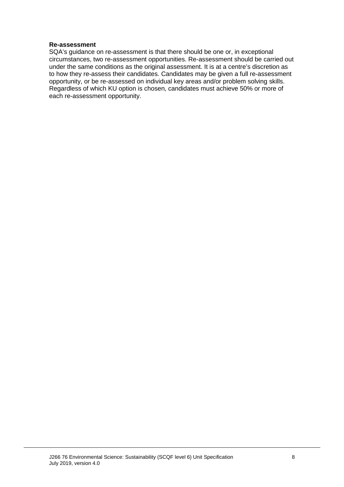#### **Re-assessment**

SQA's guidance on re-assessment is that there should be one or, in exceptional circumstances, two re-assessment opportunities. Re-assessment should be carried out under the same conditions as the original assessment. It is at a centre's discretion as to how they re-assess their candidates. Candidates may be given a full re-assessment opportunity, or be re-assessed on individual key areas and/or problem solving skills. Regardless of which KU option is chosen, candidates must achieve 50% or more of each re-assessment opportunity.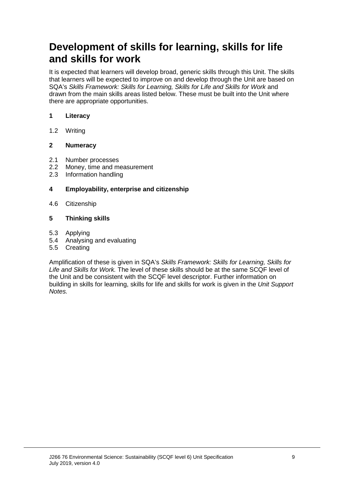# **Development of skills for learning, skills for life and skills for work**

It is expected that learners will develop broad, generic skills through this Unit. The skills that learners will be expected to improve on and develop through the Unit are based on SQA's *Skills Framework: Skills for Learning, Skills for Life and Skills for Work* and drawn from the main skills areas listed below. These must be built into the Unit where there are appropriate opportunities.

#### **1 Literacy**

1.2 Writing

#### **2 Numeracy**

- 2.1 Number processes
- 2.2 Money, time and measurement<br>2.3 Information handling
- Information handling

#### **4 Employability, enterprise and citizenship**

4.6 Citizenship

#### **5 Thinking skills**

- 5.3 Applying
- 5.4 Analysing and evaluating
- 5.5 Creating

Amplification of these is given in SQA's *Skills Framework: Skills for Learning, Skills for Life and Skills for Work.* The level of these skills should be at the same SCQF level of the Unit and be consistent with the SCQF level descriptor. Further information on building in skills for learning, skills for life and skills for work is given in the *Unit Support Notes.*